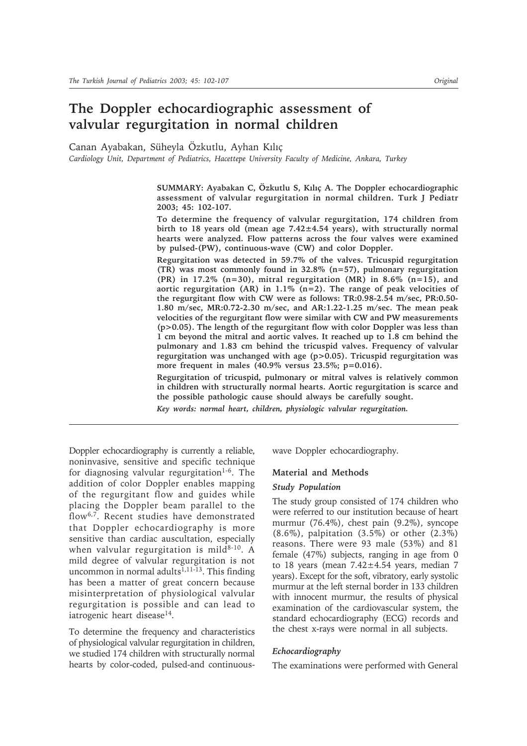# **The Doppler echocardiographic assessment of valvular regurgitation in normal children**

Canan Ayabakan, Süheyla Özkutlu, Ayhan Kılıç

*Cardiology Unit, Department of Pediatrics, Hacettepe University Faculty of Medicine, Ankara, Turkey*

SUMMARY: Ayabakan C, Özkutlu S, Kılıç A. The Doppler echocardiographic **assessment of valvular regurgitation in normal children. Turk J Pediatr 2003; 45: 102-107.**

**To determine the frequency of valvular regurgitation, 174 children from birth to 18 years old (mean age 7.42±4.54 years), with structurally normal hearts were analyzed. Flow patterns across the four valves were examined by pulsed-(PW), continuous-wave (CW) and color Doppler.**

**Regurgitation was detected in 59.7% of the valves. Tricuspid regurgitation (TR) was most commonly found in 32.8% (n=57), pulmonary regurgitation (PR) in 17.2% (n=30), mitral regurgitation (MR) in 8.6% (n=15), and aortic regurgitation (AR) in 1.1% (n=2). The range of peak velocities of the regurgitant flow with CW were as follows: TR:0.98-2.54 m/sec, PR:0.50- 1.80 m/sec, MR:0.72-2.30 m/sec, and AR:1.22-1.25 m/sec. The mean peak velocities of the regurgitant flow were similar with CW and PW measurements (p>0.05). The length of the regurgitant flow with color Doppler was less than 1 cm beyond the mitral and aortic valves. It reached up to 1.8 cm behind the pulmonary and 1.83 cm behind the tricuspid valves. Frequency of valvular regurgitation was unchanged with age (p>0.05). Tricuspid regurgitation was more frequent in males (40.9% versus 23.5%; p=0.016).**

**Regurgitation of tricuspid, pulmonary or mitral valves is relatively common in children with structurally normal hearts. Aortic regurgitation is scarce and the possible pathologic cause should always be carefully sought.**

*Key words: normal heart, children, physiologic valvular regurgitation.*

Doppler echocardiography is currently a reliable, noninvasive, sensitive and specific technique for diagnosing valvular regurgitation<sup>1-6</sup>. The addition of color Doppler enables mapping of the regurgitant flow and guides while placing the Doppler beam parallel to the flow6,7. Recent studies have demonstrated that Doppler echocardiography is more sensitive than cardiac auscultation, especially when valvular regurgitation is mild $8-10$ . A mild degree of valvular regurgitation is not uncommon in normal adults<sup>1,11-13</sup>. This finding has been a matter of great concern because misinterpretation of physiological valvular regurgitation is possible and can lead to iatrogenic heart disease<sup>14</sup>.

To determine the frequency and characteristics of physiological valvular regurgitation in children, we studied 174 children with structurally normal hearts by color-coded, pulsed-and continuouswave Doppler echocardiography.

# **Material and Methods**

### *Study Population*

The study group consisted of 174 children who were referred to our institution because of heart murmur (76.4%), chest pain (9.2%), syncope  $(8.6\%)$ , palpitation  $(3.5\%)$  or other  $(2.3\%)$ reasons. There were 93 male (53%) and 81 female (47%) subjects, ranging in age from 0 to 18 years (mean  $7.42 \pm 4.54$  years, median 7 years). Except for the soft, vibratory, early systolic murmur at the left sternal border in 133 children with innocent murmur, the results of physical examination of the cardiovascular system, the standard echocardiography (ECG) records and the chest x-rays were normal in all subjects.

## *Echocardiography*

The examinations were performed with General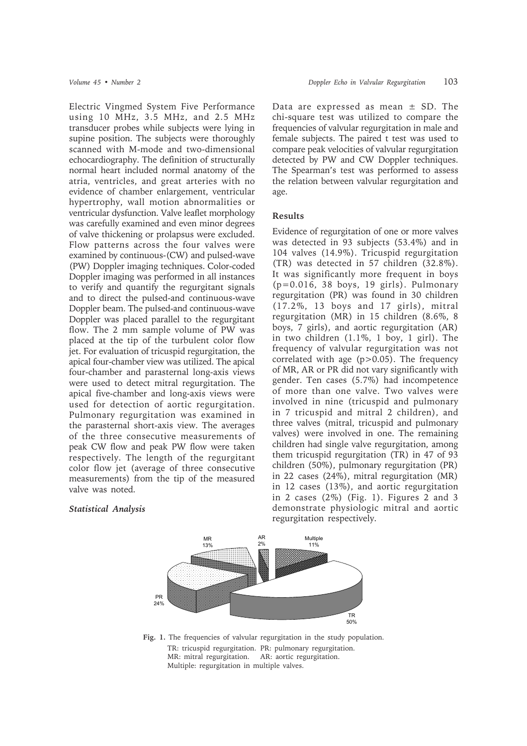Electric Vingmed System Five Performance using 10 MHz, 3.5 MHz, and 2.5 MHz transducer probes while subjects were lying in supine position. The subjects were thoroughly scanned with M-mode and two-dimensional echocardiography. The definition of structurally normal heart included normal anatomy of the atria, ventricles, and great arteries with no evidence of chamber enlargement, ventricular hypertrophy, wall motion abnormalities or ventricular dysfunction. Valve leaflet morphology was carefully examined and even minor degrees of valve thickening or prolapsus were excluded. Flow patterns across the four valves were examined by continuous-(CW) and pulsed-wave (PW) Doppler imaging techniques. Color-coded Doppler imaging was performed in all instances to verify and quantify the regurgitant signals and to direct the pulsed-and continuous-wave Doppler beam. The pulsed-and continuous-wave Doppler was placed parallel to the regurgitant flow. The 2 mm sample volume of PW was placed at the tip of the turbulent color flow jet. For evaluation of tricuspid regurgitation, the apical four-chamber view was utilized. The apical four-chamber and parasternal long-axis views were used to detect mitral regurgitation. The apical five-chamber and long-axis views were used for detection of aortic regurgitation. Pulmonary regurgitation was examined in the parasternal short-axis view. The averages of the three consecutive measurements of peak CW flow and peak PW flow were taken respectively. The length of the regurgitant color flow jet (average of three consecutive measurements) from the tip of the measured valve was noted.

# *Statistical Analysis*

Data are expressed as mean  $\pm$  SD. The chi-square test was utilized to compare the frequencies of valvular regurgitation in male and female subjects. The paired t test was used to compare peak velocities of valvular regurgitation detected by PW and CW Doppler techniques. The Spearman's test was performed to assess the relation between valvular regurgitation and age.

# **Results**

Evidence of regurgitation of one or more valves was detected in 93 subjects (53.4%) and in 104 valves (14.9%). Tricuspid regurgitation (TR) was detected in 57 children (32.8%). It was significantly more frequent in boys (p=0.016, 38 boys, 19 girls). Pulmonary regurgitation (PR) was found in 30 children (17.2%, 13 boys and 17 girls), mitral regurgitation (MR) in 15 children (8.6%, 8 boys, 7 girls), and aortic regurgitation (AR) in two children (1.1%, 1 boy, 1 girl). The frequency of valvular regurgitation was not correlated with age (p>0.05). The frequency of MR, AR or PR did not vary significantly with gender. Ten cases (5.7%) had incompetence of more than one valve. Two valves were involved in nine (tricuspid and pulmonary in 7 tricuspid and mitral 2 children), and three valves (mitral, tricuspid and pulmonary valves) were involved in one. The remaining children had single valve regurgitation, among them tricuspid regurgitation (TR) in 47 of 93 children (50%), pulmonary regurgitation (PR) in 22 cases (24%), mitral regurgitation (MR) in 12 cases (13%), and aortic regurgitation in 2 cases (2%) (Fig. 1). Figures 2 and 3 demonstrate physiologic mitral and aortic regurgitation respectively.



**Fig. 1.** The frequencies of valvular regurgitation in the study population. TR: tricuspid regurgitation. PR: pulmonary regurgitation. MR: mitral regurgitation. AR: aortic regurgitation. Multiple: regurgitation in multiple valves.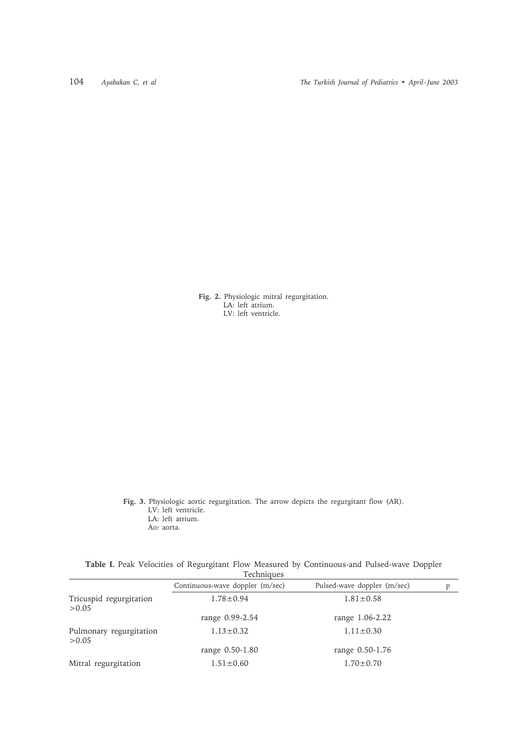**Fig. 2.** Physiologic mitral regurgitation. LA: left atrium. LV: left ventricle.

**Fig. 3.** Physiologic aortic regurgitation. The arrow depicts the regurgitant flow (AR). LV: left ventricle. LA: left atrium. Ao: aorta.

|  |  |  |            | Table I. Peak Velocities of Regurgitant Flow Measured by Continuous-and Pulsed-wave Doppler |  |
|--|--|--|------------|---------------------------------------------------------------------------------------------|--|
|  |  |  | Techniques |                                                                                             |  |

|                                   | I echniques                     |                             |   |
|-----------------------------------|---------------------------------|-----------------------------|---|
|                                   | Continuous-wave doppler (m/sec) | Pulsed-wave doppler (m/sec) | p |
| Tricuspid regurgitation<br>> 0.05 | $1.78 \pm 0.94$                 | $1.81 \pm 0.58$             |   |
|                                   | range 0.99-2.54                 | range 1.06-2.22             |   |
| Pulmonary regurgitation<br>>0.05  | $1.13 \pm 0.32$                 | $1.11 \pm 0.30$             |   |
|                                   | range 0.50-1.80                 | range 0.50-1.76             |   |
| Mitral regurgitation              | $1.51 \pm 0.60$                 | $1.70 \pm 0.70$             |   |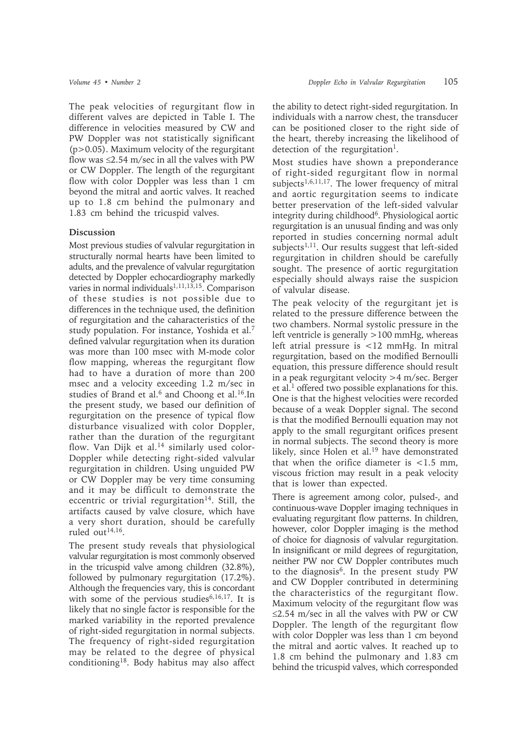The peak velocities of regurgitant flow in different valves are depicted in Table I. The difference in velocities measured by CW and PW Doppler was not statistically significant (p>0.05). Maximum velocity of the regurgitant flow was  $\leq$ 2.54 m/sec in all the valves with PW or CW Doppler. The length of the regurgitant flow with color Doppler was less than 1 cm beyond the mitral and aortic valves. It reached up to 1.8 cm behind the pulmonary and 1.83 cm behind the tricuspid valves.

# **Discussion**

Most previous studies of valvular regurgitation in structurally normal hearts have been limited to adults, and the prevalence of valvular regurgitation detected by Doppler echocardiography markedly varies in normal individuals<sup>1,11,13,15</sup>. Comparison of these studies is not possible due to differences in the technique used, the definition of regurgitation and the caharacteristics of the study population. For instance, Yoshida et al.7 defined valvular regurgitation when its duration was more than 100 msec with M-mode color flow mapping, whereas the regurgitant flow had to have a duration of more than 200 msec and a velocity exceeding 1.2 m/sec in studies of Brand et al.<sup>6</sup> and Choong et al.<sup>16</sup>.In the present study, we based our definition of regurgitation on the presence of typical flow disturbance visualized with color Doppler, rather than the duration of the regurgitant flow. Van Dijk et al. $14$  similarly used color-Doppler while detecting right-sided valvular regurgitation in children. Using unguided PW or CW Doppler may be very time consuming and it may be difficult to demonstrate the eccentric or trivial regurgitation<sup>14</sup>. Still, the artifacts caused by valve closure, which have a very short duration, should be carefully ruled  $\frac{\text{out}^{14,16}}{\text{out}^{14}}$ .

The present study reveals that physiological valvular regurgitation is most commonly observed in the tricuspid valve among children (32.8%), followed by pulmonary regurgitation (17.2%). Although the frequencies vary, this is concordant with some of the pervious studies<sup>6,16,17</sup>. It is likely that no single factor is responsible for the marked variability in the reported prevalence of right-sided regurgitation in normal subjects. The frequency of right-sided regurgitation may be related to the degree of physical conditioning18. Body habitus may also affect the ability to detect right-sided regurgitation. In individuals with a narrow chest, the transducer can be positioned closer to the right side of the heart, thereby increasing the likelihood of detection of the regurgitation<sup>1</sup>.

Most studies have shown a preponderance of right-sided regurgitant flow in normal subjects<sup>1,6,11,17</sup>. The lower frequency of mitral and aortic regurgitation seems to indicate better preservation of the left-sided valvular integrity during childhood<sup>6</sup>. Physiological aortic regurgitation is an unusual finding and was only reported in studies concerning normal adult subjects<sup>1,11</sup>. Our results suggest that left-sided regurgitation in children should be carefully sought. The presence of aortic regurgitation especially should always raise the suspicion of valvular disease.

The peak velocity of the regurgitant jet is related to the pressure difference between the two chambers. Normal systolic pressure in the left ventricle is generally  $>100$  mmHg, whereas left atrial pressure is <12 mmHg. In mitral regurgitation, based on the modified Bernoulli equation, this pressure difference should result in a peak regurgitant velocity >4 m/sec. Berger et al.<sup>1</sup> offered two possible explanations for this. One is that the highest velocities were recorded because of a weak Doppler signal. The second is that the modified Bernoulli equation may not apply to the small regurgitant orifices present in normal subjects. The second theory is more likely, since Holen et al.<sup>19</sup> have demonstrated that when the orifice diameter is  $\lt 1.5$  mm. viscous friction may result in a peak velocity that is lower than expected.

There is agreement among color, pulsed-, and continuous-wave Doppler imaging techniques in evaluating regurgitant flow patterns. In children, however, color Doppler imaging is the method of choice for diagnosis of valvular regurgitation. In insignificant or mild degrees of regurgitation, neither PW nor CW Doppler contributes much to the diagnosis<sup>6</sup>. In the present study PW and CW Doppler contributed in determining the characteristics of the regurgitant flow. Maximum velocity of the regurgitant flow was ≤2.54 m/sec in all the valves with PW or CW Doppler. The length of the regurgitant flow with color Doppler was less than 1 cm beyond the mitral and aortic valves. It reached up to 1.8 cm behind the pulmonary and 1.83 cm behind the tricuspid valves, which corresponded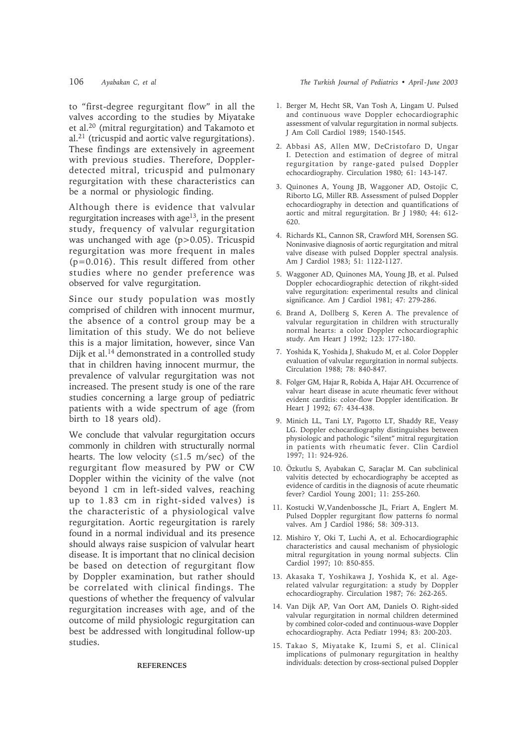to "first-degree regurgitant flow" in all the valves according to the studies by Miyatake et al.20 (mitral regurgitation) and Takamoto et al.21 (tricuspid and aortic valve regurgitations). These findings are extensively in agreement with previous studies. Therefore, Dopplerdetected mitral, tricuspid and pulmonary regurgitation with these characteristics can be a normal or physiologic finding.

Although there is evidence that valvular regurgitation increases with age $13$ , in the present study, frequency of valvular regurgitation was unchanged with age (p>0.05). Tricuspid regurgitation was more frequent in males (p=0.016). This result differed from other studies where no gender preference was observed for valve regurgitation.

Since our study population was mostly comprised of children with innocent murmur, the absence of a control group may be a limitation of this study. We do not believe this is a major limitation, however, since Van Dijk et al.14 demonstrated in a controlled study that in children having innocent murmur, the prevalence of valvular regurgitation was not increased. The present study is one of the rare studies concerning a large group of pediatric patients with a wide spectrum of age (from birth to 18 years old).

We conclude that valvular regurgitation occurs commonly in children with structurally normal hearts. The low velocity  $(\leq 1.5 \text{ m/sec})$  of the regurgitant flow measured by PW or CW Doppler within the vicinity of the valve (not beyond 1 cm in left-sided valves, reaching up to 1.83 cm in right-sided valves) is the characteristic of a physiological valve regurgitation. Aortic regeurgitation is rarely found in a normal individual and its presence should always raise suspicion of valvular heart disease. It is important that no clinical decision be based on detection of regurgitant flow by Doppler examination, but rather should be correlated with clinical findings. The questions of whether the frequency of valvular regurgitation increases with age, and of the outcome of mild physiologic regurgitation can best be addressed with longitudinal follow-up studies.

#### **REFERENCES**

# 106 *Ayabakan C, et al The Turkish Journal of Pediatrics • April - June 2003*

- 1. Berger M, Hecht SR, Van Tosh A, Lingam U. Pulsed and continuous wave Doppler echocardiographic assessment of valvular regurgitation in normal subjects. J Am Coll Cardiol 1989; 1540-1545.
- 2. Abbasi AS, Allen MW, DeCristofaro D, Ungar I. Detection and estimation of degree of mitral regurgitation by range-gated pulsed Doppler echocardiography. Circulation 1980; 61: 143-147.
- 3. Quinones A, Young JB, Waggoner AD, Ostojic C, Riborto LG, Miller RB. Assessment of pulsed Doppler echocardiography in detection and quantifications of aortic and mitral regurgitation. Br J 1980; 44: 612- 620.
- 4. Richards KL, Cannon SR, Crawford MH, Sorensen SG. Noninvasive diagnosis of aortic regurgitation and mitral valve disease with pulsed Doppler spectral analysis. Am J Cardiol 1983; 51: 1122-1127.
- 5. Waggoner AD, Quinones MA, Young JB, et al. Pulsed Doppler echocardiographic detection of rikght-sided valve regurgitation: experimental results and clinical significance. Am J Cardiol 1981; 47: 279-286.
- 6. Brand A, Dollberg S, Keren A. The prevalence of valvular regurgitation in children with structurally normal hearts: a color Doppler echocardiographic study. Am Heart J 1992; 123: 177-180.
- 7. Yoshida K, Yoshida J, Shakudo M, et al. Color Doppler evaluation of valvular regurgitation in normal subjects. Circulation 1988; 78: 840-847.
- 8. Folger GM, Hajar R, Robida A, Hajar AH. Occurrence of valvar heart disease in acute rheumatic fever without evident carditis: color-flow Doppler identification. Br Heart J 1992; 67: 434-438.
- 9. Minich LL, Tani LY, Pagotto LT, Shaddy RE, Veasy LG. Doppler echocardiography distinguishes between physiologic and pathologic "silent" mitral regurgitation in patients with rheumatic fever. Clin Cardiol 1997; 11: 924-926.
- 10. Özkutlu S, Ayabakan C, Saraçlar M. Can subclinical valvitis detected by echocardiography be accepted as evidence of carditis in the diagnosis of acute rheumatic fever? Cardiol Young 2001; 11: 255-260.
- 11. Kostucki W,Vandenbossche JL, Friart A, Englert M. Pulsed Doppler regurgitant flow patterns fo normal valves. Am J Cardiol 1986; 58: 309-313.
- 12. Mishiro Y, Oki T, Luchi A, et al. Echocardiographic characteristics and causal mechanism of physiologic mitral regurgitation in young normal subjects. Clin Cardiol 1997; 10: 850-855.
- 13. Akasaka T, Yoshikawa J, Yoshida K, et al. Agerelated valvular regurgitation: a study by Doppler echocardiography. Circulation 1987; 76: 262-265.
- 14. Van Dijk AP, Van Oort AM, Daniels O. Right-sided valvular regurgitation in normal children determined by combined color-coded and continuous-wave Doppler echocardiography. Acta Pediatr 1994; 83: 200-203.
- 15. Takao S, Miyatake K, Izumi S, et al. Clinical implications of pulmonary regurgitation in healthy individuals: detection by cross-sectional pulsed Doppler